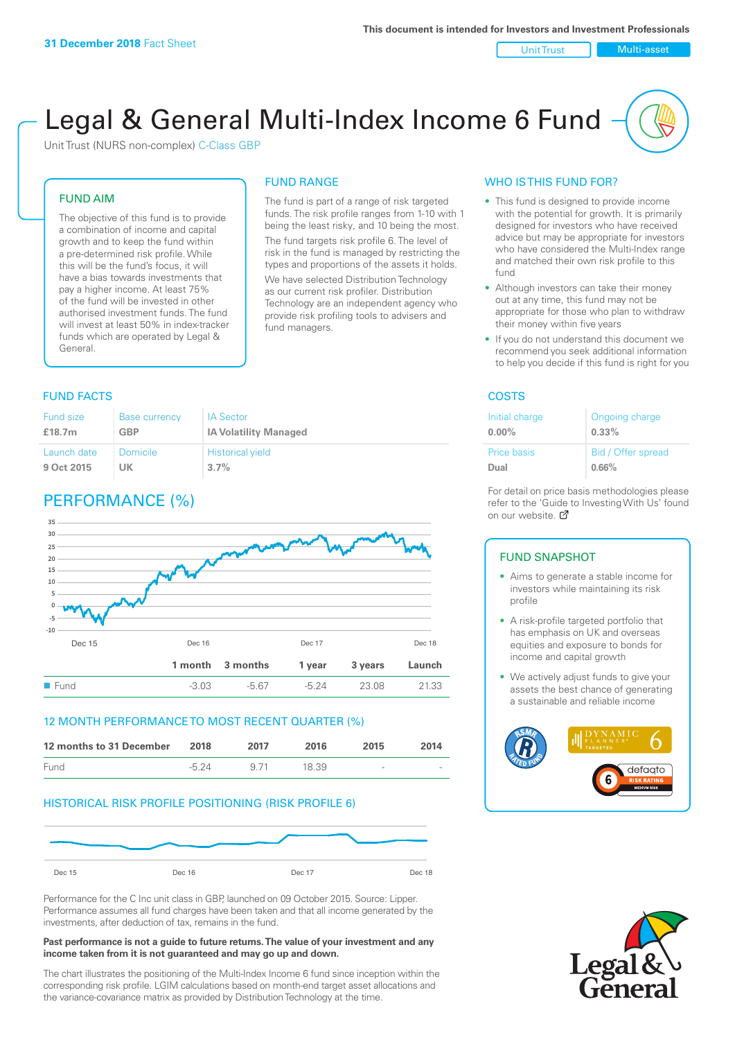#### Unit Trust Nulti-asset

# Legal & General Multi-Index Income 6 Fund

Unit Trust (NURS non-complex) C-Class GBP

# FUND AIM

The objective of this fund is to provide a combination of income and capital growth and to keep the fund within a pre-determined risk profile. While this will be the fund's focus, it will have a bias towards investments that pay a higher income. At least 75% of the fund will be invested in other authorised investment funds. The fund will invest at least 50% in index-tracker funds which are operated by Legal & General.

# FUND RANGE

The fund is part of a range of risk targeted funds. The risk profile ranges from 1-10 with 1 being the least risky, and 10 being the most. The fund targets risk profile 6. The level of risk in the fund is managed by restricting the

types and proportions of the assets it holds. We have selected Distribution Technology as our current risk profiler. Distribution Technology are an independent agency who provide risk profiling tools to advisers and fund managers.

# **FUND FACTS** COSTS

| <b>Fund size</b> | <b>Base currency</b> | <b>IA Sector</b>             |
|------------------|----------------------|------------------------------|
| £18.7m           | <b>GBP</b>           | <b>IA Volatility Managed</b> |
| Launch date      | Domicile             | <b>Historical yield</b>      |
| 9 Oct 2015       | UK                   | 3.7%                         |

# PERFORMANCE (%)



# 12 MONTH PERFORMANCE TO MOST RECENT QUARTER (%)

| 12 months to 31 December | 2018    | 2017 | 2016  | 2015   | 2014   |
|--------------------------|---------|------|-------|--------|--------|
| Fund                     | $-5.24$ | 9.71 | 18.39 | $\sim$ | $\sim$ |

# HISTORICAL RISK PROFILE POSITIONING (RISK PROFILE 6)



Performance for the C Inc unit class in GBP, launched on 09 October 2015. Source: Lipper. Performance assumes all fund charges have been taken and that all income generated by the investments, after deduction of tax, remains in the fund.

#### **Past performance is not a guide to future returns. The value of your investment and any income taken from it is not guaranteed and may go up and down.**

The chart illustrates the positioning of the Multi-Index Income 6 fund since inception within the corresponding risk profile. LGIM calculations based on month-end target asset allocations and the variance-covariance matrix as provided by Distribution Technology at the time.

# WHO IS THIS FUND FOR?

- This fund is designed to provide income with the potential for growth. It is primarily designed for investors who have received advice but may be appropriate for investors who have considered the Multi-Index range and matched their own risk profile to this fund
- Although investors can take their money out at any time, this fund may not be appropriate for those who plan to withdraw their money within five years
- If you do not understand this document we recommend you seek additional information to help you decide if this fund is right for you

| Initial charge     | Ongoing charge     |
|--------------------|--------------------|
| $0.00\%$           | $0.33\%$           |
| <b>Price basis</b> | Bid / Offer spread |
| Dual               | 0.66%              |

For detail on price basis methodologies please refer to the 'Guide to Investing With Us' found on our website. Ø

#### FUND SNAPSHOT

- Aims to generate a stable income for investors while maintaining its risk profile
- A risk-profile targeted portfolio that has emphasis on UK and overseas equities and exposure to bonds for income and capital growth
- We actively adjust funds to give your assets the best chance of generating a sustainable and reliable income



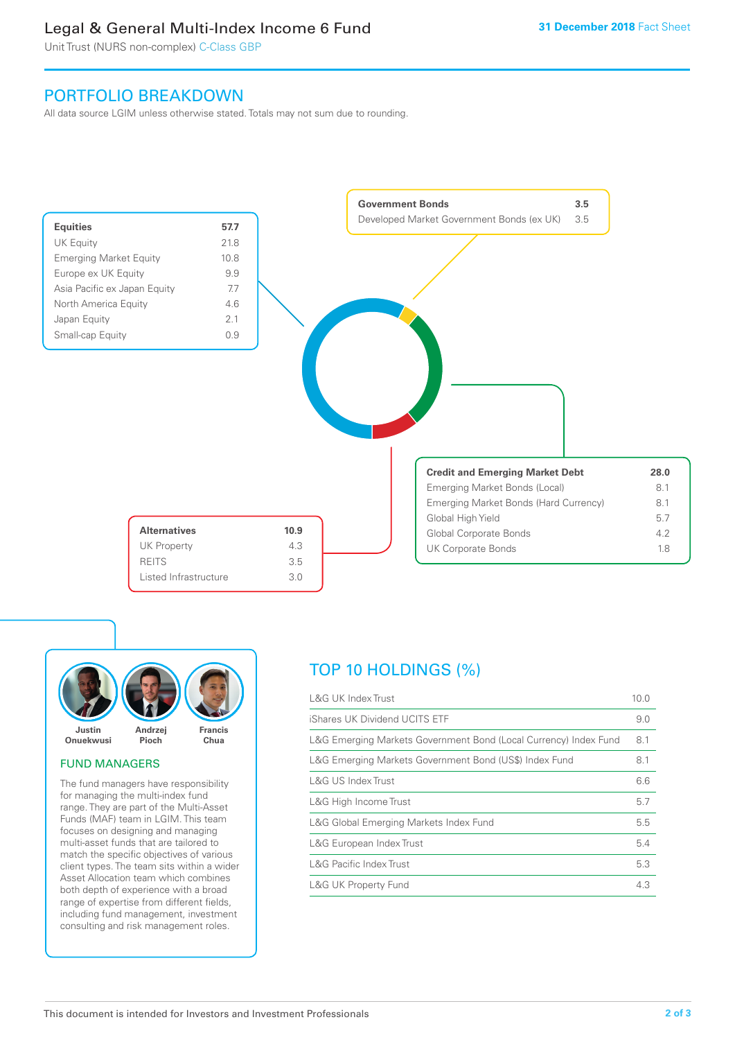# Legal & General Multi-Index Income 6 Fund

Unit Trust (NURS non-complex) C-Class GBP

# PORTFOLIO BREAKDOWN

All data source LGIM unless otherwise stated. Totals may not sum due to rounding.





# FUND MANAGERS

The fund managers have responsibility for managing the multi-index fund range. They are part of the Multi-Asset Funds (MAF) team in LGIM. This team focuses on designing and managing multi-asset funds that are tailored to match the specific objectives of various client types. The team sits within a wider Asset Allocation team which combines both depth of experience with a broad range of expertise from different fields, including fund management, investment consulting and risk management roles.

# TOP 10 HOLDINGS (%)

| <b>L&amp;G UK Index Trust</b>                                    | 10.0 |
|------------------------------------------------------------------|------|
| iShares UK Dividend UCITS ETF                                    | 9.0  |
| L&G Emerging Markets Government Bond (Local Currency) Index Fund | 8.1  |
| L&G Emerging Markets Government Bond (US\$) Index Fund           | 8.1  |
| L&G US Index Trust                                               | 6.6  |
| L&G High Income Trust                                            | 5.7  |
| L&G Global Emerging Markets Index Fund                           | 5.5  |
| L&G European Index Trust                                         | 5.4  |
| <b>L&amp;G Pacific Index Trust</b>                               | 5.3  |
| <b>L&amp;G UK Property Fund</b>                                  | 4.3  |